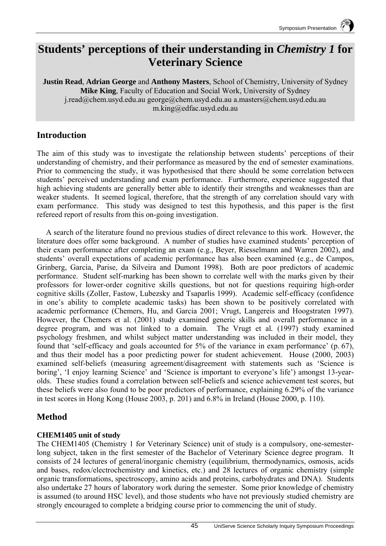# **Students' perceptions of their understanding in** *Chemistry 1* **for Veterinary Science**

**Justin Read**, **Adrian George** and **Anthony Masters**, School of Chemistry, University of Sydney **Mike King**, Faculty of Education and Social Work, University of Sydney j.read@chem.usyd.edu.au george@chem.usyd.edu.au a.masters@chem.usyd.edu.au m.king@edfac.usyd.edu.au

## **Introduction**

The aim of this study was to investigate the relationship between students' perceptions of their understanding of chemistry, and their performance as measured by the end of semester examinations. Prior to commencing the study, it was hypothesised that there should be some correlation between students' perceived understanding and exam performance. Furthermore, experience suggested that high achieving students are generally better able to identify their strengths and weaknesses than are weaker students. It seemed logical, therefore, that the strength of any correlation should vary with exam performance. This study was designed to test this hypothesis, and this paper is the first refereed report of results from this on-going investigation.

A search of the literature found no previous studies of direct relevance to this work. However, the literature does offer some background. A number of studies have examined students' perception of their exam performance after completing an exam (e.g., Beyer, Riesselmann and Warren 2002), and students' overall expectations of academic performance has also been examined (e.g., de Campos, Grinberg, Garcia, Parise, da Silveira and Dumont 1998). Both are poor predictors of academic performance. Student self-marking has been shown to correlate well with the marks given by their professors for lower-order cognitive skills questions, but not for questions requiring high-order cognitive skills (Zoller, Fastow, Lubezsky and Tsaparlis 1999). Academic self-efficacy (confidence in one's ability to complete academic tasks) has been shown to be positively correlated with academic performance (Chemers, Hu, and Garcia 2001; Vrugt, Langereis and Hoogstraten 1997). However, the Chemers et al. (2001) study examined generic skills and overall performance in a degree program, and was not linked to a domain. The Vrugt et al*.* (1997) study examined psychology freshmen, and whilst subject matter understanding was included in their model, they found that 'self-efficacy and goals accounted for 5% of the variance in exam performance' (p. 67), and thus their model has a poor predicting power for student achievement. House (2000, 2003) examined self-beliefs (measuring agreement/disagreement with statements such as 'Science is boring', 'I enjoy learning Science' and 'Science is important to everyone's life') amongst 13-yearolds. These studies found a correlation between self-beliefs and science achievement test scores, but these beliefs were also found to be poor predictors of performance, explaining 6.29% of the variance in test scores in Hong Kong (House 2003, p. 201) and 6.8% in Ireland (House 2000, p. 110).

# **Method**

### **CHEM1405 unit of study**

The CHEM1405 (Chemistry 1 for Veterinary Science) unit of study is a compulsory, one-semesterlong subject, taken in the first semester of the Bachelor of Veterinary Science degree program. It consists of 24 lectures of general/inorganic chemistry (equilibrium, thermodynamics, osmosis, acids and bases, redox/electrochemistry and kinetics, etc.) and 28 lectures of organic chemistry (simple organic transformations, spectroscopy, amino acids and proteins, carbohydrates and DNA). Students also undertake 27 hours of laboratory work during the semester. Some prior knowledge of chemistry is assumed (to around HSC level), and those students who have not previously studied chemistry are strongly encouraged to complete a bridging course prior to commencing the unit of study.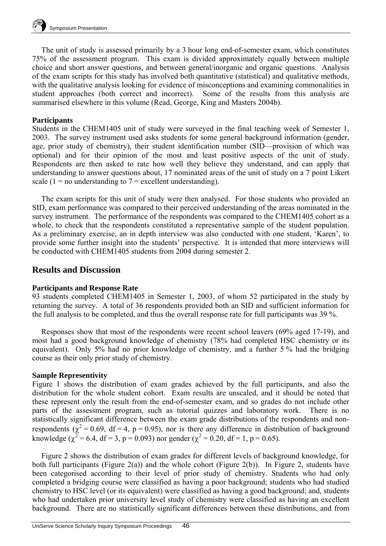The unit of study is assessed primarily by a 3 hour long end-of-semester exam, which constitutes 75% of the assessment program. This exam is divided approximately equally between multiple choice and short answer questions, and between general/inorganic and organic questions. Analysis of the exam scripts for this study has involved both quantitative (statistical) and qualitative methods, with the qualitative analysis looking for evidence of misconceptions and examining commonalities in student approaches (both correct and incorrect). Some of the results from this analysis are summarised elsewhere in this volume (Read, George, King and Masters 2004b).

#### **Participants**

Students in the CHEM1405 unit of study were surveyed in the final teaching week of Semester 1, 2003. The survey instrument used asks students for some general background information (gender, age, prior study of chemistry), their student identification number (SID—provision of which was optional) and for their opinion of the most and least positive aspects of the unit of study. Respondents are then asked to rate how well they believe they understand, and can apply that understanding to answer questions about, 17 nominated areas of the unit of study on a 7 point Likert scale (1 = no understanding to  $7$  = excellent understanding).

The exam scripts for this unit of study were then analysed. For those students who provided an SID, exam performance was compared to their perceived understanding of the areas nominated in the survey instrument. The performance of the respondents was compared to the CHEM1405 cohort as a whole, to check that the respondents constituted a representative sample of the student population. As a preliminary exercise, an in depth interview was also conducted with one student, 'Karen', to provide some further insight into the students' perspective. It is intended that more interviews will be conducted with CHEM1405 students from 2004 during semester 2.

### **Results and Discussion**

#### **Participants and Response Rate**

93 students completed CHEM1405 in Semester 1, 2003, of whom 52 participated in the study by returning the survey. A total of 36 respondents provided both an SID and sufficient information for the full analysis to be completed, and thus the overall response rate for full participants was 39 %.

Responses show that most of the respondents were recent school leavers (69% aged 17-19), and most had a good background knowledge of chemistry (78% had completed HSC chemistry or its equivalent). Only 5% had no prior knowledge of chemistry, and a further 5 % had the bridging course as their only prior study of chemistry.

#### **Sample Representivity**

Figure 1 shows the distribution of exam grades achieved by the full participants, and also the distribution for the whole student cohort. Exam results are unscaled, and it should be noted that these represent only the result from the end-of-semester exam, and so grades do not include other parts of the assessment program, such as tutorial quizzes and laboratory work. There is no statistically significant difference between the exam grade distributions of the respondents and nonrespondents ( $\chi^2$  = 0.69, df = 4, p = 0.95), nor is there any difference in distribution of background knowledge ( $\chi^2$  = 6.4, df = 3, p = 0.093) nor gender ( $\chi^2$  = 0.20, df = 1, p = 0.65).

Figure 2 shows the distribution of exam grades for different levels of background knowledge, for both full participants (Figure 2(a)) and the whole cohort (Figure 2(b)). In Figure 2, students have been categorised according to their level of prior study of chemistry. Students who had only completed a bridging course were classified as having a poor background; students who had studied chemistry to HSC level (or its equivalent) were classified as having a good background; and, students who had undertaken prior university level study of chemistry were classified as having an excellent background. There are no statistically significant differences between these distributions, and from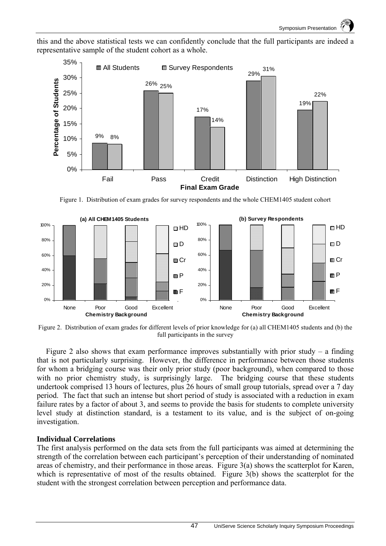

this and the above statistical tests we can confidently conclude that the full participants are indeed a representative sample of the student cohort as a whole.

Figure 1. Distribution of exam grades for survey respondents and the whole CHEM1405 student cohort



Figure 2. Distribution of exam grades for different levels of prior knowledge for (a) all CHEM1405 students and (b) the full participants in the survey

Figure 2 also shows that exam performance improves substantially with prior study – a finding that is not particularly surprising. However, the difference in performance between those students for whom a bridging course was their only prior study (poor background), when compared to those with no prior chemistry study, is surprisingly large. The bridging course that these students undertook comprised 13 hours of lectures, plus 26 hours of small group tutorials, spread over a 7 day period. The fact that such an intense but short period of study is associated with a reduction in exam failure rates by a factor of about 3, and seems to provide the basis for students to complete university level study at distinction standard, is a testament to its value, and is the subject of on-going investigation.

#### **Individual Correlations**

The first analysis performed on the data sets from the full participants was aimed at determining the strength of the correlation between each participant's perception of their understanding of nominated areas of chemistry, and their performance in those areas. Figure 3(a) shows the scatterplot for Karen, which is representative of most of the results obtained. Figure 3(b) shows the scatterplot for the student with the strongest correlation between perception and performance data.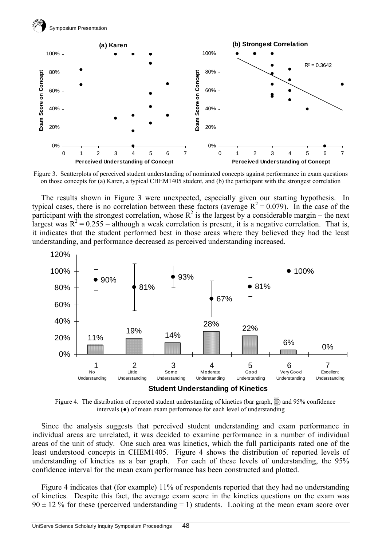



Figure 3. Scatterplots of perceived student understanding of nominated concepts against performance in exam questions on those concepts for (a) Karen, a typical CHEM1405 student, and (b) the participant with the strongest correlation

The results shown in Figure 3 were unexpected, especially given our starting hypothesis. In typical cases, there is no correlation between these factors (average  $R^2 = 0.079$ ). In the case of the participant with the strongest correlation, whose  $R^2$  is the largest by a considerable margin – the next largest was  $R^2 = 0.255$  – although a weak correlation is present, it is a negative correlation. That is, it indicates that the student performed best in those areas where they believed they had the least understanding, and performance decreased as perceived understanding increased.



Figure 4. The distribution of reported student understanding of kinetics (bar graph, ▒) and 95% confidence intervals (●) of mean exam performance for each level of understanding

Since the analysis suggests that perceived student understanding and exam performance in individual areas are unrelated, it was decided to examine performance in a number of individual areas of the unit of study. One such area was kinetics, which the full participants rated one of the least understood concepts in CHEM1405. Figure 4 shows the distribution of reported levels of understanding of kinetics as a bar graph. For each of these levels of understanding, the 95% confidence interval for the mean exam performance has been constructed and plotted.

Figure 4 indicates that (for example) 11% of respondents reported that they had no understanding of kinetics. Despite this fact, the average exam score in the kinetics questions on the exam was  $90 \pm 12$  % for these (perceived understanding = 1) students. Looking at the mean exam score over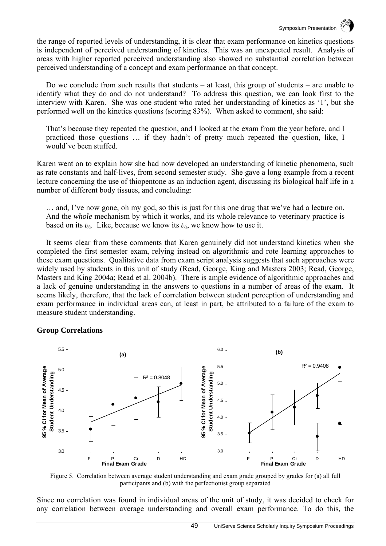the range of reported levels of understanding, it is clear that exam performance on kinetics questions is independent of perceived understanding of kinetics. This was an unexpected result. Analysis of areas with higher reported perceived understanding also showed no substantial correlation between perceived understanding of a concept and exam performance on that concept.

Do we conclude from such results that students – at least, this group of students – are unable to identify what they do and do not understand? To address this question, we can look first to the interview with Karen. She was one student who rated her understanding of kinetics as '1', but she performed well on the kinetics questions (scoring 83%). When asked to comment, she said:

That's because they repeated the question, and I looked at the exam from the year before, and I practiced those questions … if they hadn't of pretty much repeated the question, like, I would've been stuffed.

Karen went on to explain how she had now developed an understanding of kinetic phenomena, such as rate constants and half-lives, from second semester study. She gave a long example from a recent lecture concerning the use of thiopentone as an induction agent, discussing its biological half life in a number of different body tissues, and concluding:

… and, I've now gone, oh my god, so this is just for this one drug that we've had a lecture on. And the *whole* mechanism by which it works, and its whole relevance to veterinary practice is based on its *t*½. Like, because we know its *t*½, we know how to use it.

It seems clear from these comments that Karen genuinely did not understand kinetics when she completed the first semester exam, relying instead on algorithmic and rote learning approaches to these exam questions. Qualitative data from exam script analysis suggests that such approaches were widely used by students in this unit of study (Read, George, King and Masters 2003; Read, George, Masters and King 2004a; Read et al. 2004b). There is ample evidence of algorithmic approaches and a lack of genuine understanding in the answers to questions in a number of areas of the exam. It seems likely, therefore, that the lack of correlation between student perception of understanding and exam performance in individual areas can, at least in part, be attributed to a failure of the exam to measure student understanding.

#### **Group Correlations**



Figure 5. Correlation between average student understanding and exam grade grouped by grades for (a) all full participants and (b) with the perfectionist group separated

Since no correlation was found in individual areas of the unit of study, it was decided to check for any correlation between average understanding and overall exam performance. To do this, the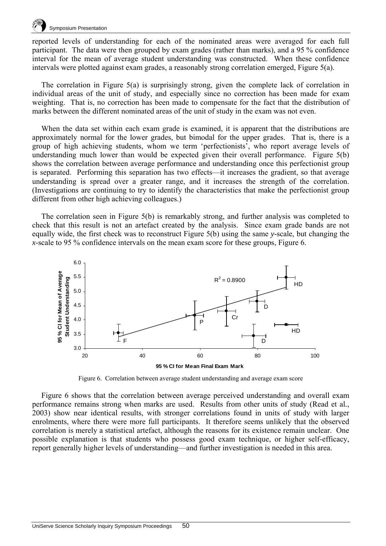

reported levels of understanding for each of the nominated areas were averaged for each full participant. The data were then grouped by exam grades (rather than marks), and a 95 % confidence interval for the mean of average student understanding was constructed. When these confidence intervals were plotted against exam grades, a reasonably strong correlation emerged, Figure 5(a).

The correlation in Figure 5(a) is surprisingly strong, given the complete lack of correlation in individual areas of the unit of study, and especially since no correction has been made for exam weighting. That is, no correction has been made to compensate for the fact that the distribution of marks between the different nominated areas of the unit of study in the exam was not even.

When the data set within each exam grade is examined, it is apparent that the distributions are approximately normal for the lower grades, but bimodal for the upper grades. That is, there is a group of high achieving students, whom we term 'perfectionists', who report average levels of understanding much lower than would be expected given their overall performance. Figure 5(b) shows the correlation between average performance and understanding once this perfectionist group is separated. Performing this separation has two effects—it increases the gradient, so that average understanding is spread over a greater range, and it increases the strength of the correlation. (Investigations are continuing to try to identify the characteristics that make the perfectionist group different from other high achieving colleagues.)

The correlation seen in Figure 5(b) is remarkably strong, and further analysis was completed to check that this result is not an artefact created by the analysis. Since exam grade bands are not equally wide, the first check was to reconstruct Figure 5(b) using the same *y*-scale, but changing the *x*-scale to 95 % confidence intervals on the mean exam score for these groups, Figure 6.



Figure 6. Correlation between average student understanding and average exam score

Figure 6 shows that the correlation between average perceived understanding and overall exam performance remains strong when marks are used. Results from other units of study (Read et al*.*, 2003) show near identical results, with stronger correlations found in units of study with larger enrolments, where there were more full participants. It therefore seems unlikely that the observed correlation is merely a statistical artefact, although the reasons for its existence remain unclear. One possible explanation is that students who possess good exam technique, or higher self-efficacy, report generally higher levels of understanding—and further investigation is needed in this area.